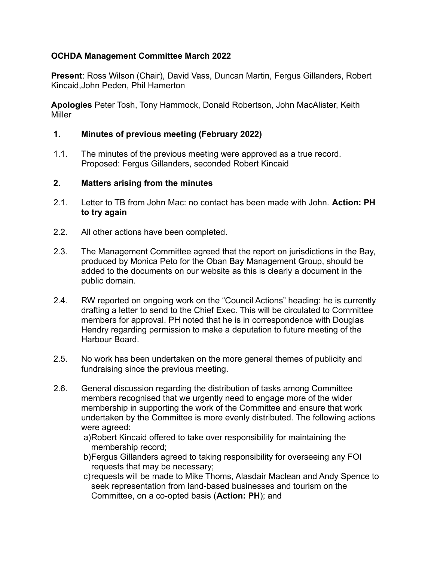## **OCHDA Management Committee March 2022**

**Present**: Ross Wilson (Chair), David Vass, Duncan Martin, Fergus Gillanders, Robert Kincaid,John Peden, Phil Hamerton

**Apologies** Peter Tosh, Tony Hammock, Donald Robertson, John MacAlister, Keith Miller

### **1. Minutes of previous meeting (February 2022)**

 1.1. The minutes of the previous meeting were approved as a true record. Proposed: Fergus Gillanders, seconded Robert Kincaid

#### **2. Matters arising from the minutes**

- 2.1. Letter to TB from John Mac: no contact has been made with John. **Action: PH to try again**
- 2.2. All other actions have been completed.
- 2.3. The Management Committee agreed that the report on jurisdictions in the Bay, produced by Monica Peto for the Oban Bay Management Group, should be added to the documents on our website as this is clearly a document in the public domain.
- 2.4. RW reported on ongoing work on the "Council Actions" heading: he is currently drafting a letter to send to the Chief Exec. This will be circulated to Committee members for approval. PH noted that he is in correspondence with Douglas Hendry regarding permission to make a deputation to future meeting of the Harbour Board.
- 2.5. No work has been undertaken on the more general themes of publicity and fundraising since the previous meeting.
- 2.6. General discussion regarding the distribution of tasks among Committee members recognised that we urgently need to engage more of the wider membership in supporting the work of the Committee and ensure that work undertaken by the Committee is more evenly distributed. The following actions were agreed:
	- a)Robert Kincaid offered to take over responsibility for maintaining the membership record;
	- b)Fergus Gillanders agreed to taking responsibility for overseeing any FOI requests that may be necessary;
	- c)requests will be made to Mike Thoms, Alasdair Maclean and Andy Spence to seek representation from land-based businesses and tourism on the Committee, on a co-opted basis (**Action: PH**); and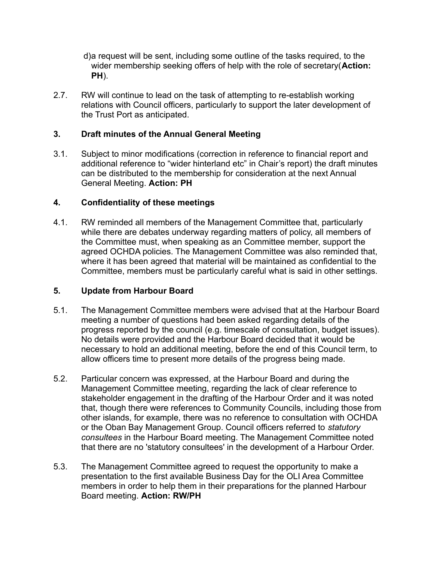- d)a request will be sent, including some outline of the tasks required, to the wider membership seeking offers of help with the role of secretary(**Action: PH**).
- 2.7. RW will continue to lead on the task of attempting to re-establish working relations with Council officers, particularly to support the later development of the Trust Port as anticipated.

## **3. Draft minutes of the Annual General Meeting**

 3.1. Subject to minor modifications (correction in reference to financial report and additional reference to "wider hinterland etc" in Chair's report) the draft minutes can be distributed to the membership for consideration at the next Annual General Meeting. **Action: PH**

### **4. Confidentiality of these meetings**

 4.1. RW reminded all members of the Management Committee that, particularly while there are debates underway regarding matters of policy, all members of the Committee must, when speaking as an Committee member, support the agreed OCHDA policies. The Management Committee was also reminded that, where it has been agreed that material will be maintained as confidential to the Committee, members must be particularly careful what is said in other settings.

#### **5. Update from Harbour Board**

- 5.1. The Management Committee members were advised that at the Harbour Board meeting a number of questions had been asked regarding details of the progress reported by the council (e.g. timescale of consultation, budget issues). No details were provided and the Harbour Board decided that it would be necessary to hold an additional meeting, before the end of this Council term, to allow officers time to present more details of the progress being made.
- 5.2. Particular concern was expressed, at the Harbour Board and during the Management Committee meeting, regarding the lack of clear reference to stakeholder engagement in the drafting of the Harbour Order and it was noted that, though there were references to Community Councils, including those from other islands, for example, there was no reference to consultation with OCHDA or the Oban Bay Management Group. Council officers referred to *statutory consultees* in the Harbour Board meeting. The Management Committee noted that there are no 'statutory consultees' in the development of a Harbour Order.
- 5.3. The Management Committee agreed to request the opportunity to make a presentation to the first available Business Day for the OLI Area Committee members in order to help them in their preparations for the planned Harbour Board meeting. **Action: RW/PH**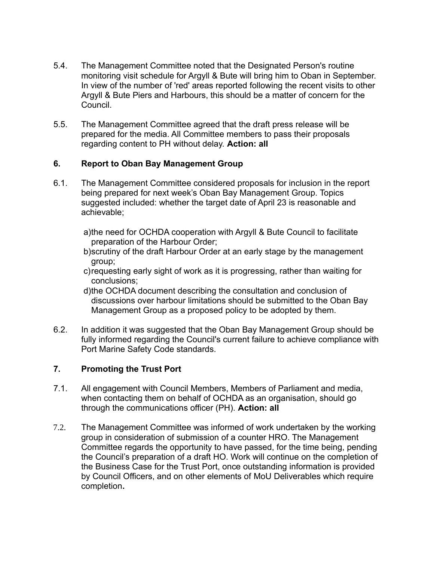- 5.4. The Management Committee noted that the Designated Person's routine monitoring visit schedule for Argyll & Bute will bring him to Oban in September. In view of the number of 'red' areas reported following the recent visits to other Argyll & Bute Piers and Harbours, this should be a matter of concern for the Council.
- 5.5. The Management Committee agreed that the draft press release will be prepared for the media. All Committee members to pass their proposals regarding content to PH without delay. **Action: all**

### **6. Report to Oban Bay Management Group**

- 6.1. The Management Committee considered proposals for inclusion in the report being prepared for next week's Oban Bay Management Group. Topics suggested included: whether the target date of April 23 is reasonable and achievable;
	- a)the need for OCHDA cooperation with Argyll & Bute Council to facilitate preparation of the Harbour Order;
	- b)scrutiny of the draft Harbour Order at an early stage by the management group;
	- c)requesting early sight of work as it is progressing, rather than waiting for conclusions;
	- d)the OCHDA document describing the consultation and conclusion of discussions over harbour limitations should be submitted to the Oban Bay Management Group as a proposed policy to be adopted by them.
- 6.2. In addition it was suggested that the Oban Bay Management Group should be fully informed regarding the Council's current failure to achieve compliance with Port Marine Safety Code standards.

#### **7. Promoting the Trust Port**

- 7.1. All engagement with Council Members, Members of Parliament and media, when contacting them on behalf of OCHDA as an organisation, should go through the communications officer (PH). **Action: all**
- 7.2. The Management Committee was informed of work undertaken by the working group in consideration of submission of a counter HRO. The Management Committee regards the opportunity to have passed, for the time being, pending the Council's preparation of a draft HO. Work will continue on the completion of the Business Case for the Trust Port, once outstanding information is provided by Council Officers, and on other elements of MoU Deliverables which require completion**.**